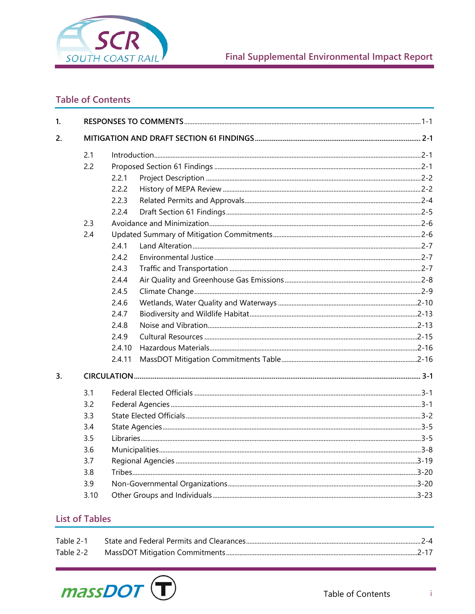

## **Final Supplemental Environmental Impact Report**

## **Table of Contents**

| $\mathbf{1}$ |      |        |  |  |  |
|--------------|------|--------|--|--|--|
| 2.           |      |        |  |  |  |
|              | 2.1  |        |  |  |  |
|              | 2.2  |        |  |  |  |
|              |      | 2.2.1  |  |  |  |
|              |      | 2.2.2  |  |  |  |
|              |      | 2.2.3  |  |  |  |
|              |      | 2.2.4  |  |  |  |
|              | 2.3  |        |  |  |  |
|              | 2.4  |        |  |  |  |
|              |      | 2.4.1  |  |  |  |
|              |      | 2.4.2  |  |  |  |
|              |      | 2.4.3  |  |  |  |
|              |      | 2.4.4  |  |  |  |
|              |      | 2.4.5  |  |  |  |
|              |      | 2.4.6  |  |  |  |
|              |      | 2.4.7  |  |  |  |
|              |      | 2.4.8  |  |  |  |
|              |      | 2.4.9  |  |  |  |
|              |      | 2.4.10 |  |  |  |
|              |      | 2.4.11 |  |  |  |
| 3.           |      |        |  |  |  |
|              | 3.1  |        |  |  |  |
|              | 3.2  |        |  |  |  |
|              | 3.3  |        |  |  |  |
|              | 3.4  |        |  |  |  |
|              | 3.5  |        |  |  |  |
|              | 3.6  |        |  |  |  |
|              | 3.7  |        |  |  |  |
|              | 3.8  |        |  |  |  |
|              | 3.9  |        |  |  |  |
|              | 3.10 |        |  |  |  |

## **List of Tables**